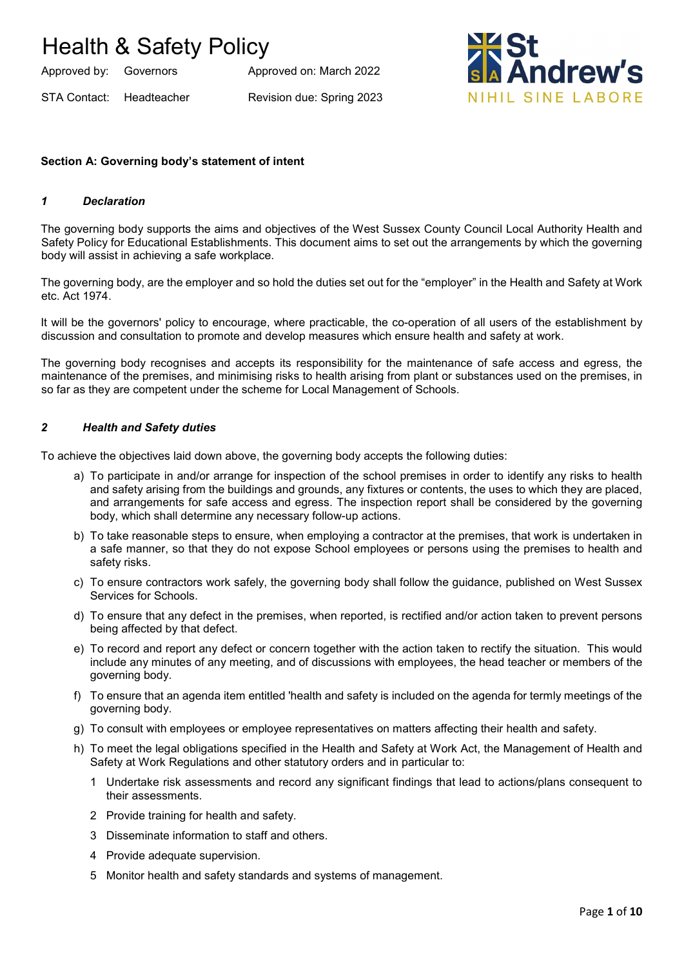Approved by: Governors Approved on: March 2022

STA Contact: Headteacher Revision due: Spring 2023



## **Section A: Governing body's statement of intent**

#### *1 Declaration*

The governing body supports the aims and objectives of the West Sussex County Council Local Authority Health and Safety Policy for Educational Establishments. This document aims to set out the arrangements by which the governing body will assist in achieving a safe workplace.

The governing body, are the employer and so hold the duties set out for the "employer" in the Health and Safety at Work etc. Act 1974.

It will be the governors' policy to encourage, where practicable, the co-operation of all users of the establishment by discussion and consultation to promote and develop measures which ensure health and safety at work.

The governing body recognises and accepts its responsibility for the maintenance of safe access and egress, the maintenance of the premises, and minimising risks to health arising from plant or substances used on the premises, in so far as they are competent under the scheme for Local Management of Schools.

#### *2 Health and Safety duties*

To achieve the objectives laid down above, the governing body accepts the following duties:

- a) To participate in and/or arrange for inspection of the school premises in order to identify any risks to health and safety arising from the buildings and grounds, any fixtures or contents, the uses to which they are placed, and arrangements for safe access and egress. The inspection report shall be considered by the governing body, which shall determine any necessary follow-up actions.
- b) To take reasonable steps to ensure, when employing a contractor at the premises, that work is undertaken in a safe manner, so that they do not expose School employees or persons using the premises to health and safety risks.
- c) To ensure contractors work safely, the governing body shall follow the guidance, published on West Sussex Services for Schools.
- d) To ensure that any defect in the premises, when reported, is rectified and/or action taken to prevent persons being affected by that defect.
- e) To record and report any defect or concern together with the action taken to rectify the situation. This would include any minutes of any meeting, and of discussions with employees, the head teacher or members of the governing body.
- f) To ensure that an agenda item entitled 'health and safety is included on the agenda for termly meetings of the governing body.
- g) To consult with employees or employee representatives on matters affecting their health and safety.
- h) To meet the legal obligations specified in the Health and Safety at Work Act, the Management of Health and Safety at Work Regulations and other statutory orders and in particular to:
	- 1 Undertake risk assessments and record any significant findings that lead to actions/plans consequent to their assessments.
	- 2 Provide training for health and safety.
	- 3 Disseminate information to staff and others.
	- 4 Provide adequate supervision.
	- 5 Monitor health and safety standards and systems of management.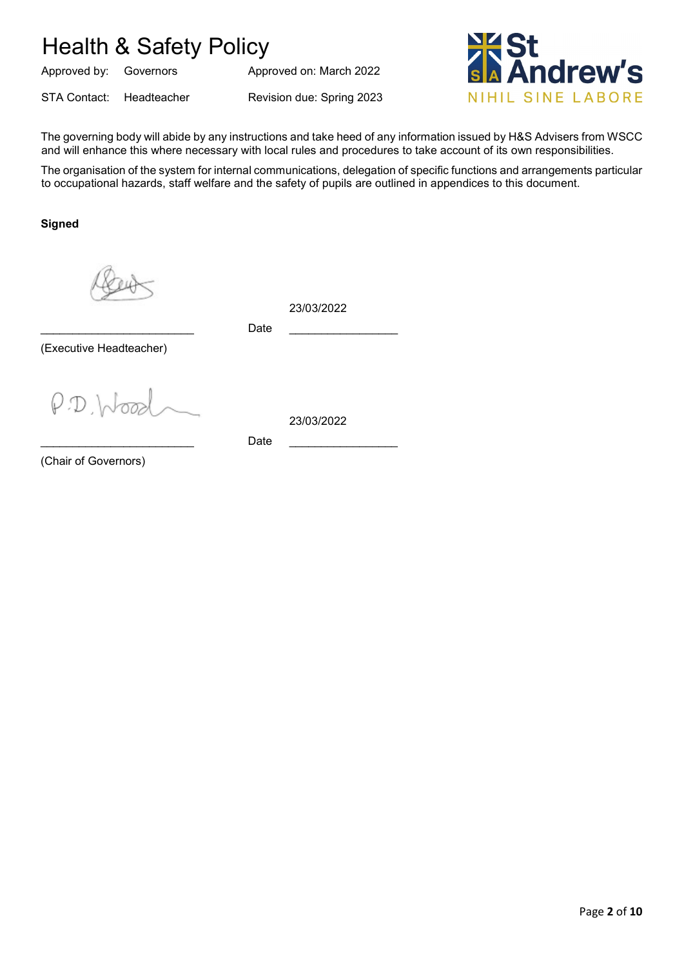Approved by: Governors Approved on: March 2022

STA Contact: Headteacher Revision due: Spring 2023



The governing body will abide by any instructions and take heed of any information issued by H&S Advisers from WSCC and will enhance this where necessary with local rules and procedures to take account of its own responsibilities.

The organisation of the system for internal communications, delegation of specific functions and arrangements particular to occupational hazards, staff welfare and the safety of pupils are outlined in appendices to this document.

**Signed**

23/03/2022

\_\_\_\_\_\_\_\_\_\_\_\_\_\_\_\_\_\_\_\_\_\_\_\_ Date \_\_\_\_\_\_\_\_\_\_\_\_\_\_\_\_\_

(Executive Headteacher)

 $\rho$   $D$   $h$ 

23/03/2022

(Chair of Governors)

\_\_\_\_\_\_\_\_\_\_\_\_\_\_\_\_\_\_\_\_\_\_\_\_ Date \_\_\_\_\_\_\_\_\_\_\_\_\_\_\_\_\_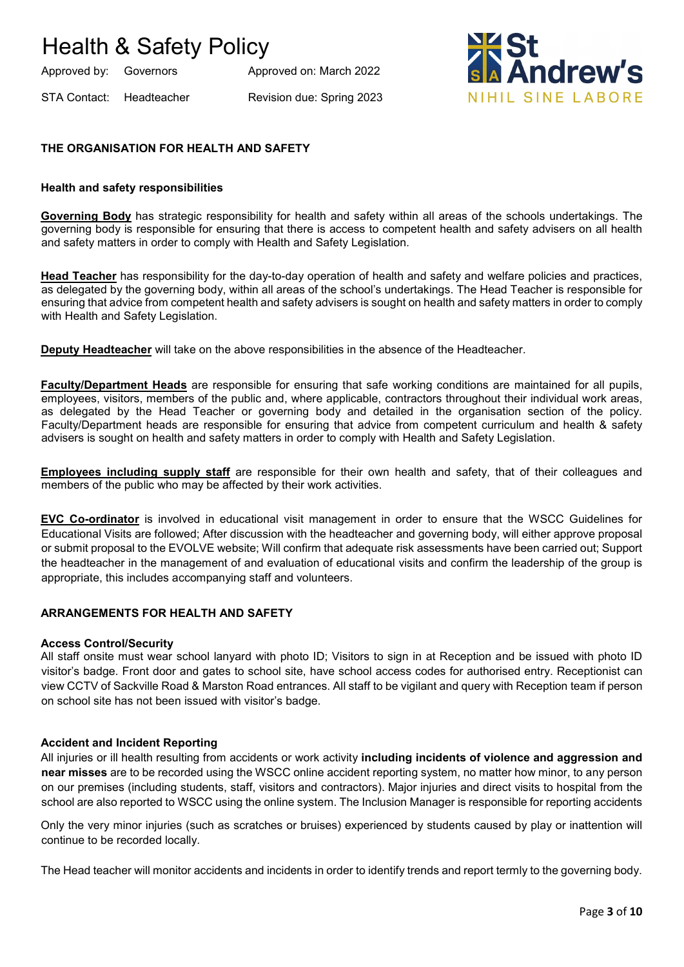Approved by: Governors Approved on: March 2022

STA Contact: Headteacher Revision due: Spring 2023



# **THE ORGANISATION FOR HEALTH AND SAFETY**

#### **Health and safety responsibilities**

**Governing Body** has strategic responsibility for health and safety within all areas of the schools undertakings. The governing body is responsible for ensuring that there is access to competent health and safety advisers on all health and safety matters in order to comply with Health and Safety Legislation.

**Head Teacher** has responsibility for the day-to-day operation of health and safety and welfare policies and practices, as delegated by the governing body, within all areas of the school's undertakings. The Head Teacher is responsible for ensuring that advice from competent health and safety advisers is sought on health and safety matters in order to comply with Health and Safety Legislation.

**Deputy Headteacher** will take on the above responsibilities in the absence of the Headteacher.

**Faculty/Department Heads** are responsible for ensuring that safe working conditions are maintained for all pupils, employees, visitors, members of the public and, where applicable, contractors throughout their individual work areas, as delegated by the Head Teacher or governing body and detailed in the organisation section of the policy. Faculty/Department heads are responsible for ensuring that advice from competent curriculum and health & safety advisers is sought on health and safety matters in order to comply with Health and Safety Legislation.

**Employees including supply staff** are responsible for their own health and safety, that of their colleagues and members of the public who may be affected by their work activities.

**EVC Co-ordinator** is involved in educational visit management in order to ensure that the WSCC Guidelines for Educational Visits are followed; After discussion with the headteacher and governing body, will either approve proposal or submit proposal to the EVOLVE website; Will confirm that adequate risk assessments have been carried out; Support the headteacher in the management of and evaluation of educational visits and confirm the leadership of the group is appropriate, this includes accompanying staff and volunteers.

#### **ARRANGEMENTS FOR HEALTH AND SAFETY**

#### **Access Control/Security**

All staff onsite must wear school lanyard with photo ID; Visitors to sign in at Reception and be issued with photo ID visitor's badge. Front door and gates to school site, have school access codes for authorised entry. Receptionist can view CCTV of Sackville Road & Marston Road entrances. All staff to be vigilant and query with Reception team if person on school site has not been issued with visitor's badge.

#### **Accident and Incident Reporting**

All injuries or ill health resulting from accidents or work activity **including incidents of violence and aggression and near misses** are to be recorded using the WSCC online accident reporting system, no matter how minor, to any person on our premises (including students, staff, visitors and contractors). Major injuries and direct visits to hospital from the school are also reported to WSCC using the online system. The Inclusion Manager is responsible for reporting accidents

Only the very minor injuries (such as scratches or bruises) experienced by students caused by play or inattention will continue to be recorded locally.

The Head teacher will monitor accidents and incidents in order to identify trends and report termly to the governing body.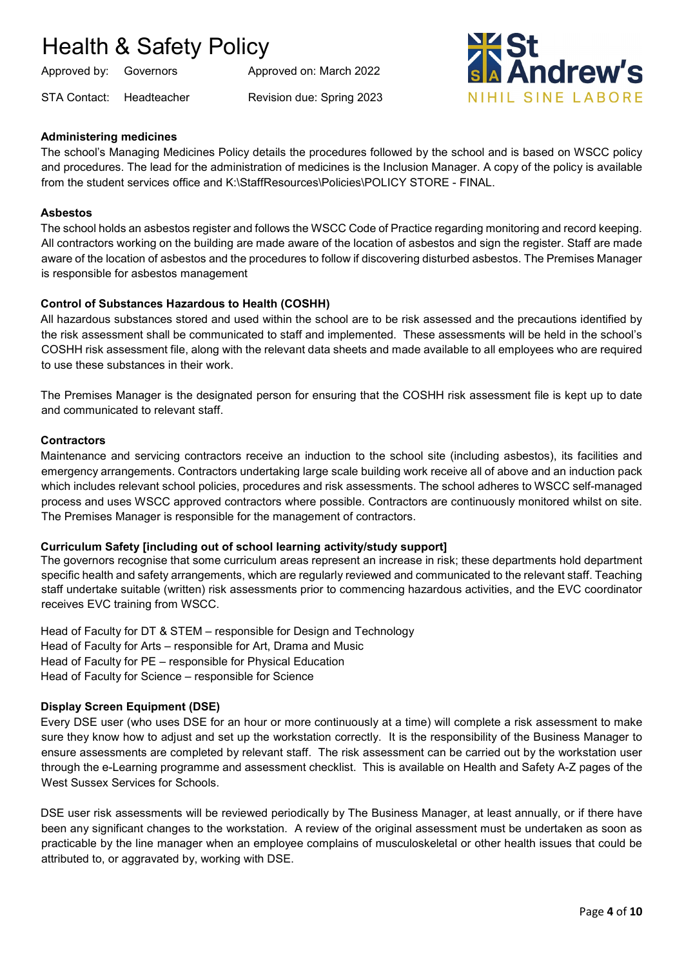STA Contact: Headteacher Revision due: Spring 2023

Approved by: Governors Approved on: March 2022



# **Administering medicines**

The school's Managing Medicines Policy details the procedures followed by the school and is based on WSCC policy and procedures. The lead for the administration of medicines is the Inclusion Manager. A copy of the policy is available from the student services office and K:\StaffResources\Policies\POLICY STORE - FINAL.

#### **Asbestos**

The school holds an asbestos register and follows the WSCC Code of Practice regarding monitoring and record keeping. All contractors working on the building are made aware of the location of asbestos and sign the register. Staff are made aware of the location of asbestos and the procedures to follow if discovering disturbed asbestos. The Premises Manager is responsible for asbestos management

#### **Control of Substances Hazardous to Health (COSHH)**

All hazardous substances stored and used within the school are to be risk assessed and the precautions identified by the risk assessment shall be communicated to staff and implemented. These assessments will be held in the school's COSHH risk assessment file, along with the relevant data sheets and made available to all employees who are required to use these substances in their work.

The Premises Manager is the designated person for ensuring that the COSHH risk assessment file is kept up to date and communicated to relevant staff.

#### **Contractors**

Maintenance and servicing contractors receive an induction to the school site (including asbestos), its facilities and emergency arrangements. Contractors undertaking large scale building work receive all of above and an induction pack which includes relevant school policies, procedures and risk assessments. The school adheres to WSCC self-managed process and uses WSCC approved contractors where possible. Contractors are continuously monitored whilst on site. The Premises Manager is responsible for the management of contractors.

#### **Curriculum Safety [including out of school learning activity/study support]**

The governors recognise that some curriculum areas represent an increase in risk; these departments hold department specific health and safety arrangements, which are regularly reviewed and communicated to the relevant staff. Teaching staff undertake suitable (written) risk assessments prior to commencing hazardous activities, and the EVC coordinator receives EVC training from WSCC.

Head of Faculty for DT & STEM – responsible for Design and Technology Head of Faculty for Arts – responsible for Art, Drama and Music Head of Faculty for PE – responsible for Physical Education Head of Faculty for Science – responsible for Science

#### **Display Screen Equipment (DSE)**

Every DSE user (who uses DSE for an hour or more continuously at a time) will complete a risk assessment to make sure they know how to adjust and set up the workstation correctly. It is the responsibility of the Business Manager to ensure assessments are completed by relevant staff. The risk assessment can be carried out by the workstation user through the e-Learning programme and assessment checklist. This is available on Health and Safety A-Z pages of the West Sussex Services for Schools.

DSE user risk assessments will be reviewed periodically by The Business Manager, at least annually, or if there have been any significant changes to the workstation. A review of the original assessment must be undertaken as soon as practicable by the line manager when an employee complains of musculoskeletal or other health issues that could be attributed to, or aggravated by, working with DSE.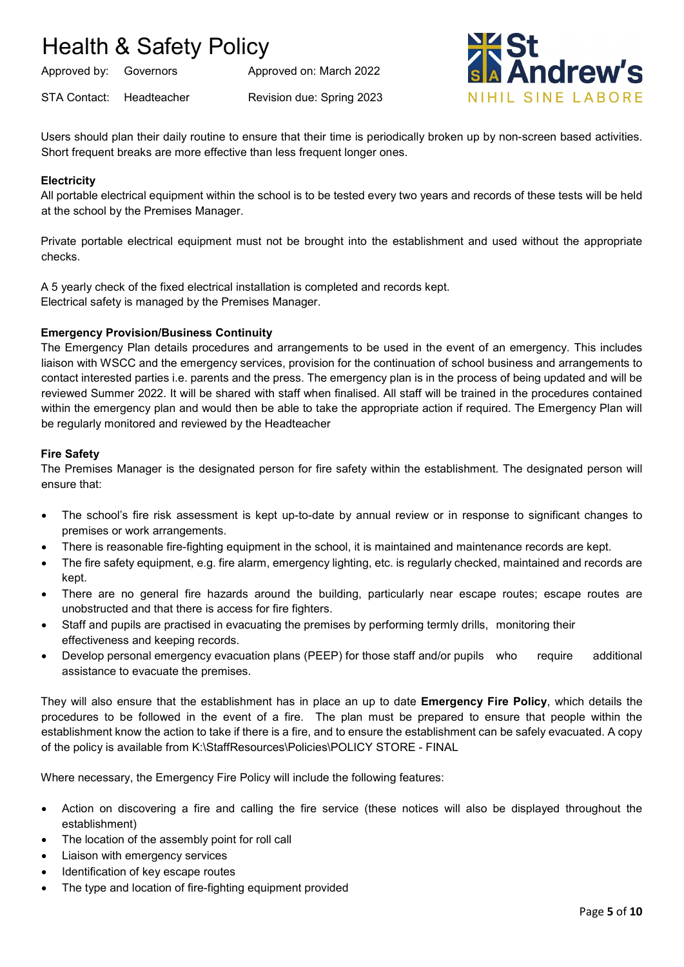Approved by: Governors Approved on: March 2022

STA Contact: Headteacher Revision due: Spring 2023



Users should plan their daily routine to ensure that their time is periodically broken up by non-screen based activities. Short frequent breaks are more effective than less frequent longer ones.

# **Electricity**

All portable electrical equipment within the school is to be tested every two years and records of these tests will be held at the school by the Premises Manager.

Private portable electrical equipment must not be brought into the establishment and used without the appropriate checks.

A 5 yearly check of the fixed electrical installation is completed and records kept. Electrical safety is managed by the Premises Manager.

# **Emergency Provision/Business Continuity**

The Emergency Plan details procedures and arrangements to be used in the event of an emergency. This includes liaison with WSCC and the emergency services, provision for the continuation of school business and arrangements to contact interested parties i.e. parents and the press. The emergency plan is in the process of being updated and will be reviewed Summer 2022. It will be shared with staff when finalised. All staff will be trained in the procedures contained within the emergency plan and would then be able to take the appropriate action if required. The Emergency Plan will be regularly monitored and reviewed by the Headteacher

## **Fire Safety**

The Premises Manager is the designated person for fire safety within the establishment. The designated person will ensure that:

- The school's fire risk assessment is kept up-to-date by annual review or in response to significant changes to premises or work arrangements.
- There is reasonable fire-fighting equipment in the school, it is maintained and maintenance records are kept.
- The fire safety equipment, e.g. fire alarm, emergency lighting, etc. is regularly checked, maintained and records are kept.
- There are no general fire hazards around the building, particularly near escape routes; escape routes are unobstructed and that there is access for fire fighters.
- Staff and pupils are practised in evacuating the premises by performing termly drills, monitoring their effectiveness and keeping records.
- Develop personal emergency evacuation plans (PEEP) for those staff and/or pupils who require additional assistance to evacuate the premises.

They will also ensure that the establishment has in place an up to date **Emergency Fire Policy**, which details the procedures to be followed in the event of a fire. The plan must be prepared to ensure that people within the establishment know the action to take if there is a fire, and to ensure the establishment can be safely evacuated. A copy of the policy is available from K:\StaffResources\Policies\POLICY STORE - FINAL

Where necessary, the Emergency Fire Policy will include the following features:

- Action on discovering a fire and calling the fire service (these notices will also be displayed throughout the establishment)
- The location of the assembly point for roll call
- Liaison with emergency services
- Identification of key escape routes
- The type and location of fire-fighting equipment provided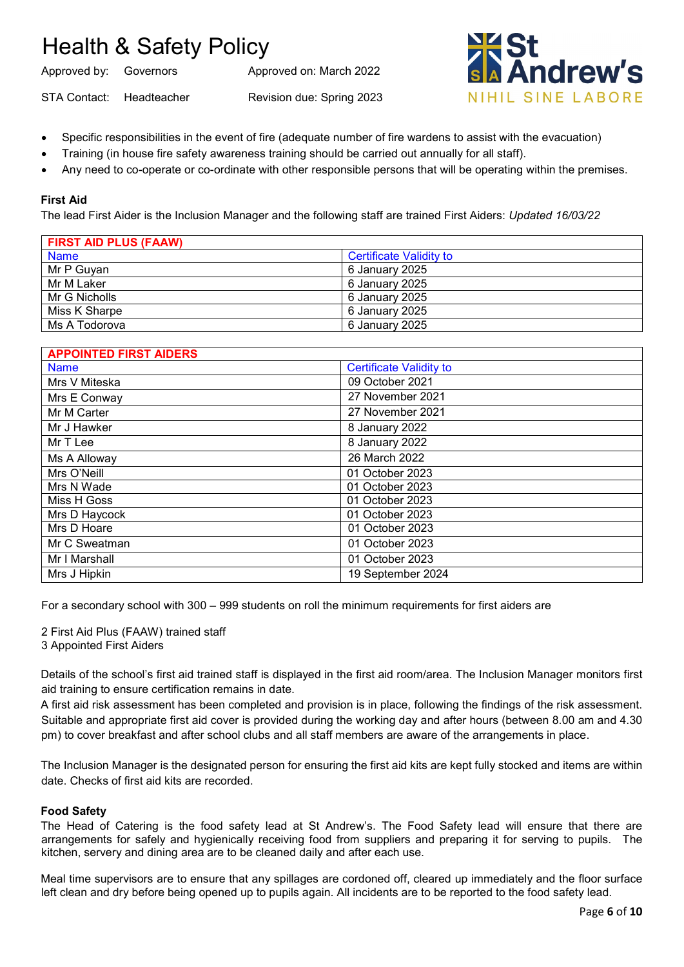Approved by: Governors Approved on: March 2022

STA Contact: Headteacher Revision due: Spring 2023



- Specific responsibilities in the event of fire (adequate number of fire wardens to assist with the evacuation)
- Training (in house fire safety awareness training should be carried out annually for all staff).
- Any need to co-operate or co-ordinate with other responsible persons that will be operating within the premises.

## **First Aid**

The lead First Aider is the Inclusion Manager and the following staff are trained First Aiders: *Updated 16/03/22*

| <b>FIRST AID PLUS (FAAW)</b> |                         |
|------------------------------|-------------------------|
| <b>Name</b>                  | Certificate Validity to |
| Mr P Guyan                   | 6 January 2025          |
| Mr M Laker                   | 6 January 2025          |
| Mr G Nicholls                | 6 January 2025          |
| Miss K Sharpe                | 6 January 2025          |
| Ms A Todorova                | 6 January 2025          |

| <b>APPOINTED FIRST AIDERS</b> |                                |
|-------------------------------|--------------------------------|
| <b>Name</b>                   | <b>Certificate Validity to</b> |
| Mrs V Miteska                 | 09 October 2021                |
| Mrs E Conway                  | 27 November 2021               |
| Mr M Carter                   | 27 November 2021               |
| Mr J Hawker                   | 8 January 2022                 |
| Mr T Lee                      | 8 January 2022                 |
| Ms A Alloway                  | 26 March 2022                  |
| Mrs O'Neill                   | 01 October 2023                |
| Mrs N Wade                    | 01 October 2023                |
| Miss H Goss                   | 01 October 2023                |
| Mrs D Haycock                 | 01 October 2023                |
| Mrs D Hoare                   | 01 October 2023                |
| Mr C Sweatman                 | 01 October 2023                |
| Mr I Marshall                 | 01 October 2023                |
| Mrs J Hipkin                  | 19 September 2024              |

For a secondary school with 300 – 999 students on roll the minimum requirements for first aiders are

2 First Aid Plus (FAAW) trained staff 3 Appointed First Aiders

Details of the school's first aid trained staff is displayed in the first aid room/area. The Inclusion Manager monitors first aid training to ensure certification remains in date.

A first aid risk assessment has been completed and provision is in place, following the findings of the risk assessment. Suitable and appropriate first aid cover is provided during the working day and after hours (between 8.00 am and 4.30 pm) to cover breakfast and after school clubs and all staff members are aware of the arrangements in place.

The Inclusion Manager is the designated person for ensuring the first aid kits are kept fully stocked and items are within date. Checks of first aid kits are recorded.

#### **Food Safety**

The Head of Catering is the food safety lead at St Andrew's. The Food Safety lead will ensure that there are arrangements for safely and hygienically receiving food from suppliers and preparing it for serving to pupils. The kitchen, servery and dining area are to be cleaned daily and after each use.

Meal time supervisors are to ensure that any spillages are cordoned off, cleared up immediately and the floor surface left clean and dry before being opened up to pupils again. All incidents are to be reported to the food safety lead.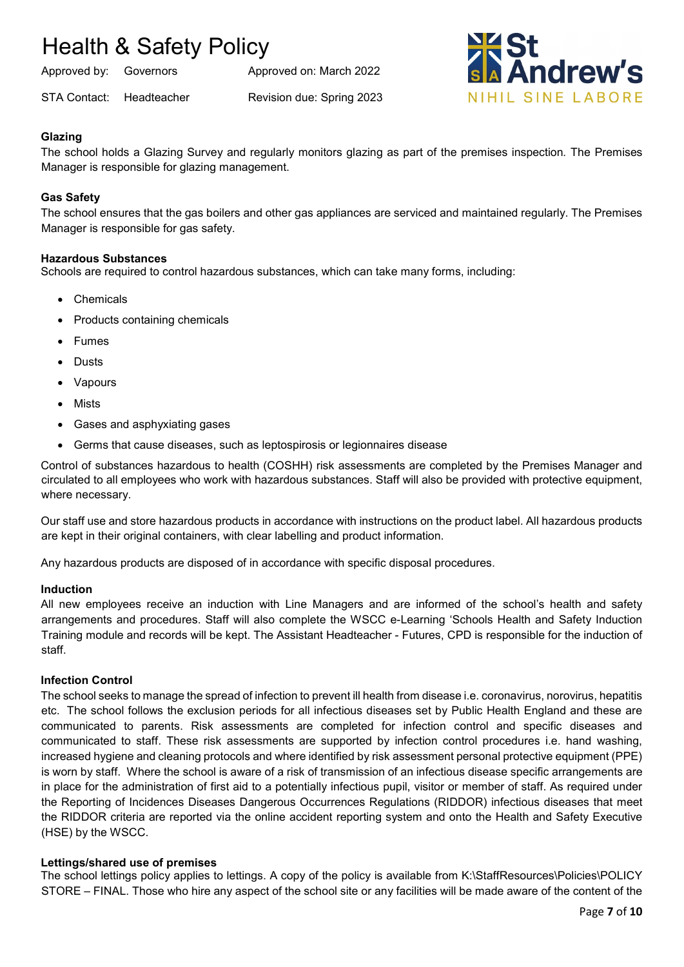Approved by: Governors Approved on: March 2022

STA Contact: Headteacher Revision due: Spring 2023



## **Glazing**

The school holds a Glazing Survey and regularly monitors glazing as part of the premises inspection*.* The Premises Manager is responsible for glazing management.

## **Gas Safety**

The school ensures that the gas boilers and other gas appliances are serviced and maintained regularly. The Premises Manager is responsible for gas safety.

#### **Hazardous Substances**

Schools are required to control hazardous substances, which can take many forms, including:

- Chemicals
- Products containing chemicals
- Fumes
- Dusts
- Vapours
- Mists
- Gases and asphyxiating gases
- Germs that cause diseases, such as leptospirosis or legionnaires disease

Control of substances hazardous to health (COSHH) risk assessments are completed by the Premises Manager and circulated to all employees who work with hazardous substances. Staff will also be provided with protective equipment, where necessary.

Our staff use and store hazardous products in accordance with instructions on the product label. All hazardous products are kept in their original containers, with clear labelling and product information.

Any hazardous products are disposed of in accordance with specific disposal procedures.

#### **Induction**

All new employees receive an induction with Line Managers and are informed of the school's health and safety arrangements and procedures. Staff will also complete the WSCC e-Learning 'Schools Health and Safety Induction Training module and records will be kept. The Assistant Headteacher - Futures, CPD is responsible for the induction of staff.

#### **Infection Control**

The school seeks to manage the spread of infection to prevent ill health from disease i.e. coronavirus, norovirus, hepatitis etc. The school follows the exclusion periods for all infectious diseases set by Public Health England and these are communicated to parents. Risk assessments are completed for infection control and specific diseases and communicated to staff. These risk assessments are supported by infection control procedures i.e. hand washing, increased hygiene and cleaning protocols and where identified by risk assessment personal protective equipment (PPE) is worn by staff. Where the school is aware of a risk of transmission of an infectious disease specific arrangements are in place for the administration of first aid to a potentially infectious pupil, visitor or member of staff. As required under the Reporting of Incidences Diseases Dangerous Occurrences Regulations (RIDDOR) infectious diseases that meet the RIDDOR criteria are reported via the online accident reporting system and onto the Health and Safety Executive (HSE) by the WSCC.

#### **Lettings/shared use of premises**

The school lettings policy applies to lettings. A copy of the policy is available from K:\StaffResources\Policies\POLICY STORE – FINAL. Those who hire any aspect of the school site or any facilities will be made aware of the content of the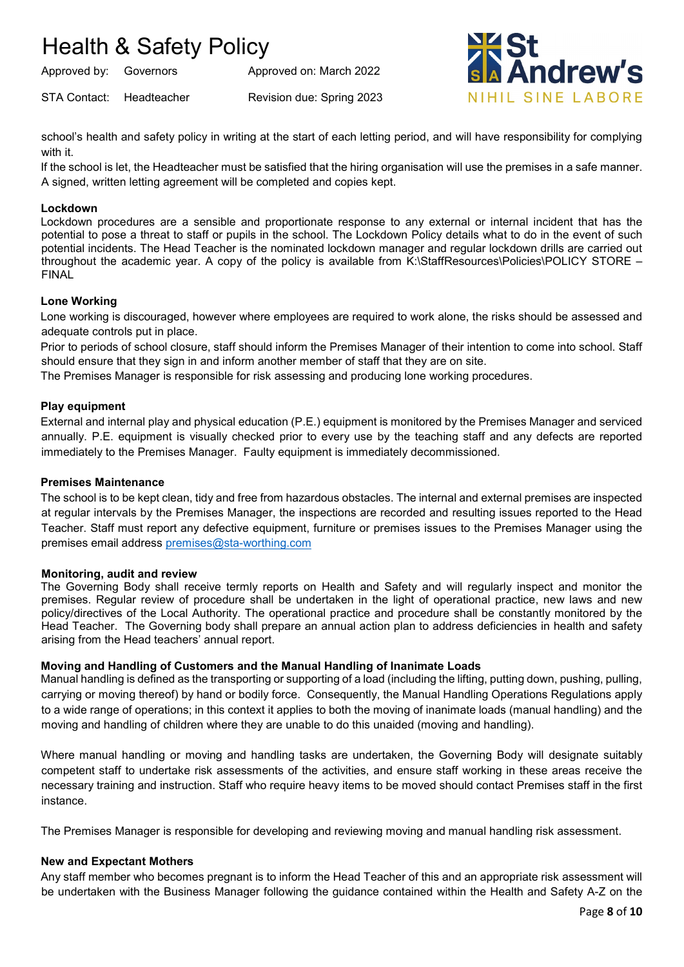STA Contact: Headteacher Revision due: Spring 2023

Approved by: Governors Approved on: March 2022



school's health and safety policy in writing at the start of each letting period, and will have responsibility for complying with it.

If the school is let, the Headteacher must be satisfied that the hiring organisation will use the premises in a safe manner. A signed, written letting agreement will be completed and copies kept.

### **Lockdown**

Lockdown procedures are a sensible and proportionate response to any external or internal incident that has the potential to pose a threat to staff or pupils in the school. The Lockdown Policy details what to do in the event of such potential incidents. The Head Teacher is the nominated lockdown manager and regular lockdown drills are carried out throughout the academic year. A copy of the policy is available from K:\StaffResources\Policies\POLICY STORE – FINAL

## **Lone Working**

Lone working is discouraged, however where employees are required to work alone, the risks should be assessed and adequate controls put in place.

Prior to periods of school closure, staff should inform the Premises Manager of their intention to come into school. Staff should ensure that they sign in and inform another member of staff that they are on site.

The Premises Manager is responsible for risk assessing and producing lone working procedures.

## **Play equipment**

External and internal play and physical education (P.E.) equipment is monitored by the Premises Manager and serviced annually. P.E. equipment is visually checked prior to every use by the teaching staff and any defects are reported immediately to the Premises Manager. Faulty equipment is immediately decommissioned.

#### **Premises Maintenance**

The school is to be kept clean, tidy and free from hazardous obstacles. The internal and external premises are inspected at regular intervals by the Premises Manager, the inspections are recorded and resulting issues reported to the Head Teacher. Staff must report any defective equipment, furniture or premises issues to the Premises Manager using the premises email address [premises@sta-worthing.com](mailto:premises@sta-worthing.com)

#### **Monitoring, audit and review**

The Governing Body shall receive termly reports on Health and Safety and will regularly inspect and monitor the premises. Regular review of procedure shall be undertaken in the light of operational practice, new laws and new policy/directives of the Local Authority. The operational practice and procedure shall be constantly monitored by the Head Teacher. The Governing body shall prepare an annual action plan to address deficiencies in health and safety arising from the Head teachers' annual report.

#### **Moving and Handling of Customers and the Manual Handling of Inanimate Loads**

Manual handling is defined as the transporting or supporting of a load (including the lifting, putting down, pushing, pulling, carrying or moving thereof) by hand or bodily force. Consequently, the Manual Handling Operations Regulations apply to a wide range of operations; in this context it applies to both the moving of inanimate loads (manual handling) and the moving and handling of children where they are unable to do this unaided (moving and handling).

Where manual handling or moving and handling tasks are undertaken, the Governing Body will designate suitably competent staff to undertake risk assessments of the activities, and ensure staff working in these areas receive the necessary training and instruction. Staff who require heavy items to be moved should contact Premises staff in the first instance.

The Premises Manager is responsible for developing and reviewing moving and manual handling risk assessment.

#### **New and Expectant Mothers**

Any staff member who becomes pregnant is to inform the Head Teacher of this and an appropriate risk assessment will be undertaken with the Business Manager following the guidance contained within the Health and Safety A-Z on the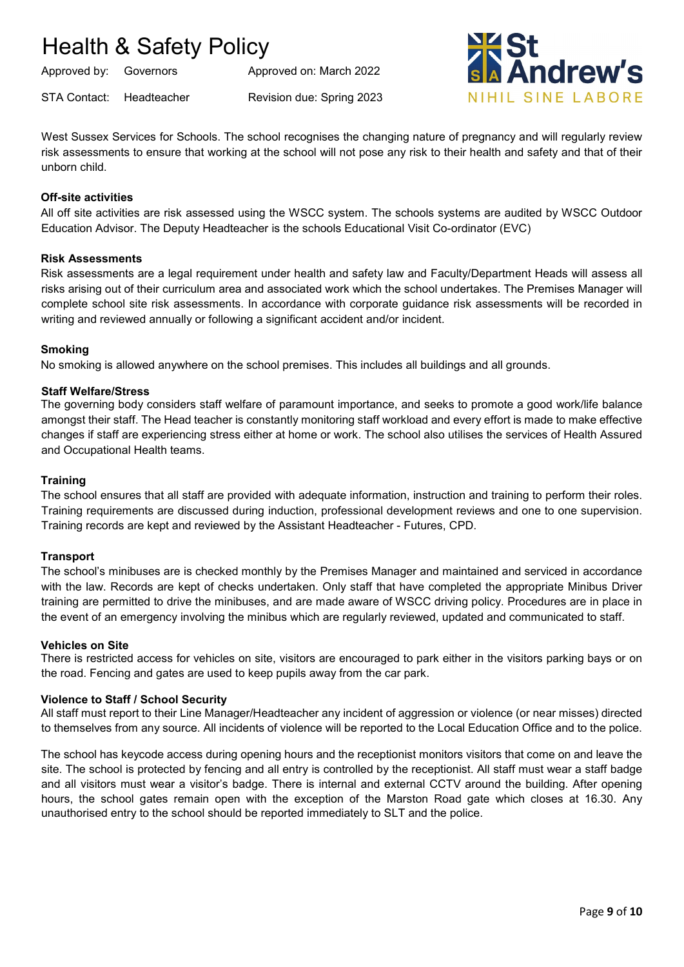Approved by: Governors Approved on: March 2022

STA Contact: Headteacher Revision due: Spring 2023



West Sussex Services for Schools. The school recognises the changing nature of pregnancy and will regularly review risk assessments to ensure that working at the school will not pose any risk to their health and safety and that of their unborn child.

### **Off-site activities**

All off site activities are risk assessed using the WSCC system. The schools systems are audited by WSCC Outdoor Education Advisor. The Deputy Headteacher is the schools Educational Visit Co-ordinator (EVC)

#### **Risk Assessments**

Risk assessments are a legal requirement under health and safety law and Faculty/Department Heads will assess all risks arising out of their curriculum area and associated work which the school undertakes. The Premises Manager will complete school site risk assessments. In accordance with corporate guidance risk assessments will be recorded in writing and reviewed annually or following a significant accident and/or incident.

## **Smoking**

No smoking is allowed anywhere on the school premises. This includes all buildings and all grounds.

## **Staff Welfare/Stress**

The governing body considers staff welfare of paramount importance, and seeks to promote a good work/life balance amongst their staff. The Head teacher is constantly monitoring staff workload and every effort is made to make effective changes if staff are experiencing stress either at home or work. The school also utilises the services of Health Assured and Occupational Health teams.

#### **Training**

The school ensures that all staff are provided with adequate information, instruction and training to perform their roles. Training requirements are discussed during induction, professional development reviews and one to one supervision. Training records are kept and reviewed by the Assistant Headteacher - Futures, CPD.

#### **Transport**

The school's minibuses are is checked monthly by the Premises Manager and maintained and serviced in accordance with the law. Records are kept of checks undertaken. Only staff that have completed the appropriate Minibus Driver training are permitted to drive the minibuses, and are made aware of WSCC driving policy. Procedures are in place in the event of an emergency involving the minibus which are regularly reviewed, updated and communicated to staff.

#### **Vehicles on Site**

There is restricted access for vehicles on site, visitors are encouraged to park either in the visitors parking bays or on the road. Fencing and gates are used to keep pupils away from the car park.

#### **Violence to Staff / School Security**

All staff must report to their Line Manager/Headteacher any incident of aggression or violence (or near misses) directed to themselves from any source. All incidents of violence will be reported to the Local Education Office and to the police.

The school has keycode access during opening hours and the receptionist monitors visitors that come on and leave the site. The school is protected by fencing and all entry is controlled by the receptionist. All staff must wear a staff badge and all visitors must wear a visitor's badge. There is internal and external CCTV around the building. After opening hours, the school gates remain open with the exception of the Marston Road gate which closes at 16.30. Any unauthorised entry to the school should be reported immediately to SLT and the police.